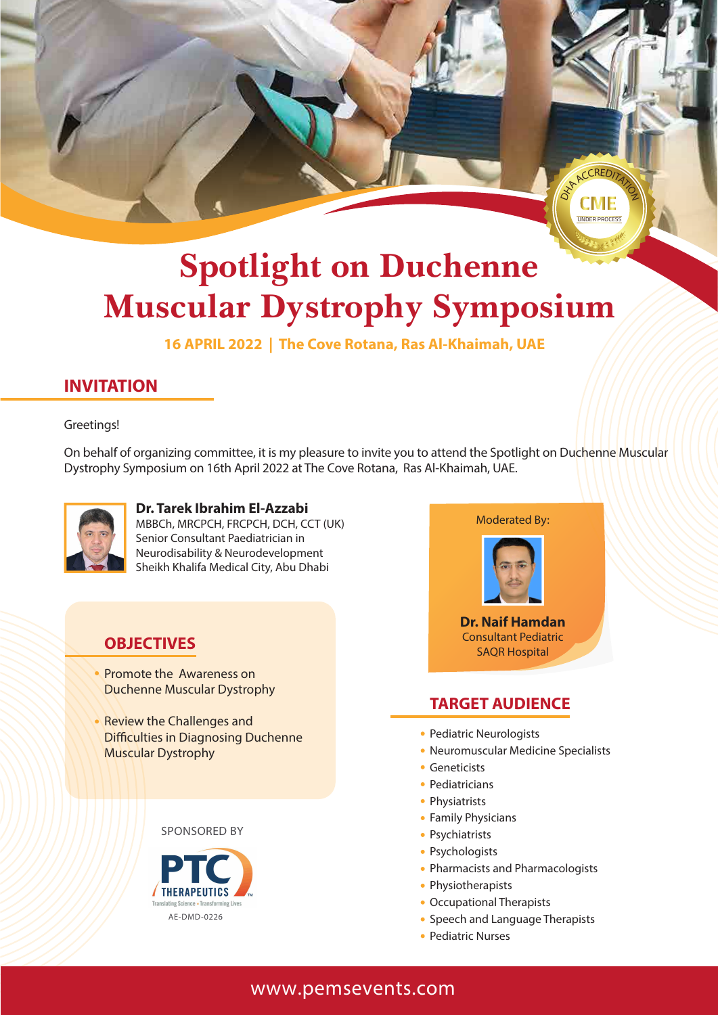

# **Spotlight on Duchenne Muscular Dystrophy Symposium**

**16 APRIL 2022 | The Cove Rotana, Ras Al-Khaimah, UAE**

## **INVITATION**

Greetings!

On behalf of organizing committee, it is my pleasure to invite you to attend the Spotlight on Duchenne Muscular Dystrophy Symposium on 16th April 2022 at The Cove Rotana, Ras Al-Khaimah, UAE.



**Dr. Tarek Ibrahim El-Azzabi** MBBCh, MRCPCH, FRCPCH, DCH, CCT (UK) Senior Consultant Paediatrician in Neurodisability & Neurodevelopment Sheikh Khalifa Medical City, Abu Dhabi

### **OBJECTIVES**

- Promote the Awareness on Duchenne Muscular Dystrophy
- Review the Challenges and Difficulties in Diagnosing Duchenne Muscular Dystrophy

#### SPONSORED BY





### **TARGET AUDIENCE**

- Pediatric Neurologists
- Neuromuscular Medicine Specialists
- **Geneticists**
- Pediatricians
- Physiatrists
- Family Physicians
- Psychiatrists
- Psychologists
- Pharmacists and Pharmacologists
- Physiotherapists
- Occupational Therapists
- Speech and Language Therapists
- Pediatric Nurses

### **www.pemsevents.com**